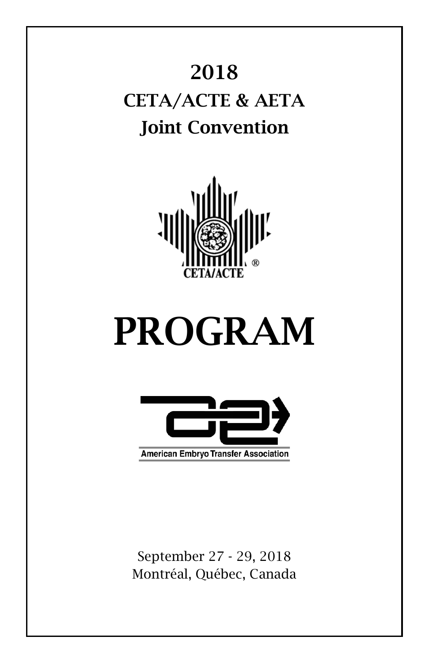# 2018 CETA/ACTE & AETA Joint Convention



# PROGRAM



September 27 - 29, 2018 Montréal, Québec, Canada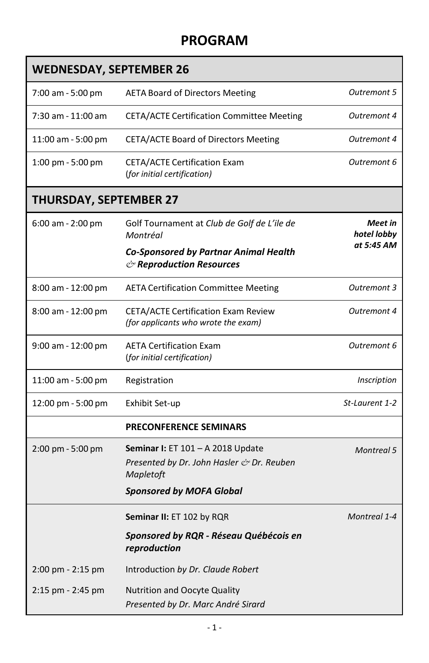# **PROGRAM**

| <b>WEDNESDAY, SEPTEMBER 26</b>      |                                                                                                    |                        |  |
|-------------------------------------|----------------------------------------------------------------------------------------------------|------------------------|--|
| 7:00 am - 5:00 pm                   | <b>AETA Board of Directors Meeting</b>                                                             | Outremont 5            |  |
| 7:30 am - 11:00 am                  | <b>CETA/ACTE Certification Committee Meeting</b>                                                   | Outremont 4            |  |
| 11:00 am - 5:00 pm                  | CETA/ACTE Board of Directors Meeting                                                               | Outremont 4            |  |
| $1:00 \text{ pm} - 5:00 \text{ pm}$ | <b>CETA/ACTE Certification Exam</b><br>(for initial certification)                                 | Outremont 6            |  |
| <b>THURSDAY, SEPTEMBER 27</b>       |                                                                                                    |                        |  |
| $6:00$ am - 2:00 pm                 | Golf Tournament at Club de Golf de L'ile de<br>Montréal                                            | Meet in<br>hotel lobby |  |
|                                     | <b>Co-Sponsored by Partnar Animal Health</b><br>$\circlearrowright$ Reproduction Resources         | at 5:45 AM             |  |
| 8:00 am - 12:00 pm                  | <b>AETA Certification Committee Meeting</b>                                                        | Outremont 3            |  |
| 8:00 am - 12:00 pm                  | <b>CETA/ACTE Certification Exam Review</b><br>(for applicants who wrote the exam)                  | Outremont 4            |  |
| 9:00 am - 12:00 pm                  | <b>AETA Certification Exam</b><br>(for initial certification)                                      | Outremont 6            |  |
| 11:00 am - 5:00 pm                  | Registration                                                                                       | Inscription            |  |
| 12:00 pm - 5:00 pm                  | Exhibit Set-up                                                                                     | St-Laurent 1-2         |  |
|                                     | <b>PRECONFERENCE SEMINARS</b>                                                                      |                        |  |
| $2:00 \text{ pm} - 5:00 \text{ pm}$ | <b>Seminar I:</b> ET 101 - A 2018 Update<br>Presented by Dr. John Hasler & Dr. Reuben<br>Mapletoft | <b>Montreal 5</b>      |  |
|                                     | <b>Sponsored by MOFA Global</b>                                                                    |                        |  |
|                                     | <b>Seminar II: ET 102 by RQR</b>                                                                   | Montreal 1-4           |  |
|                                     | Sponsored by RQR - Réseau Québécois en<br>reproduction                                             |                        |  |
| $2:00$ pm - $2:15$ pm               | Introduction by Dr. Claude Robert                                                                  |                        |  |
| 2:15 pm - 2:45 pm                   | <b>Nutrition and Oocyte Quality</b><br>Presented by Dr. Marc André Sirard                          |                        |  |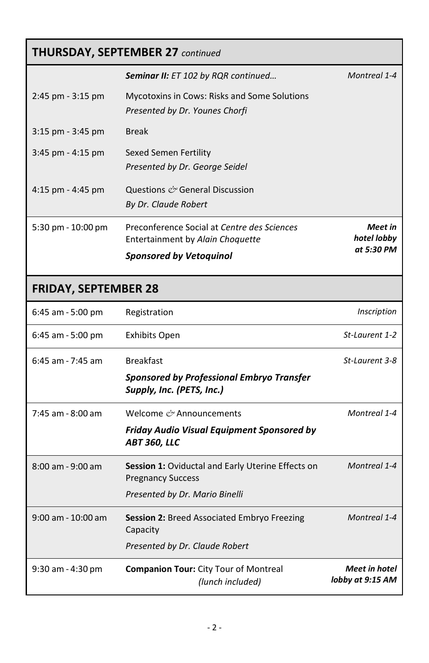# **THURSDAY, SEPTEMBER 27** *continued*

|                        | <b>Seminar II:</b> ET 102 by RQR continued                                            | Montreal 1-4           |
|------------------------|---------------------------------------------------------------------------------------|------------------------|
| $2:45$ pm - $3:15$ pm  | <b>Mycotoxins in Cows: Risks and Some Solutions</b><br>Presented by Dr. Younes Chorfi |                        |
| $3:15$ pm - $3:45$ pm  | <b>Break</b>                                                                          |                        |
| $3:45$ pm - $4:15$ pm  | Sexed Semen Fertility<br>Presented by Dr. George Seidel                               |                        |
| $4:15$ pm - $4:45$ pm  | Questions $\ell$ General Discussion<br>By Dr. Claude Robert                           |                        |
| $5:30$ pm - $10:00$ pm | Preconference Social at Centre des Sciences<br>Entertainment by Alain Choquette       | Meet in<br>hotel lobby |
|                        | <b>Sponsored by Vetoquinol</b>                                                        | at 5:30 PM             |

# **FRIDAY, SEPTEMBER 28**

| $6:45$ am - 5:00 pm  | Registration                                                                         | Inscription                              |
|----------------------|--------------------------------------------------------------------------------------|------------------------------------------|
| $6:45$ am - 5:00 pm  | Exhibits Open                                                                        | St-Laurent 1-2                           |
| $6:45$ am - 7:45 am  | <b>Breakfast</b>                                                                     | St-Laurent 3-8                           |
|                      | Sponsored by Professional Embryo Transfer<br>Supply, Inc. (PETS, Inc.)               |                                          |
| 7:45 am - 8:00 am    | Welcome ex Announcements                                                             | Montreal 1-4                             |
|                      | Friday Audio Visual Equipment Sponsored by<br>ABT 360, LLC                           |                                          |
| $8:00$ am - 9:00 am  | <b>Session 1: Oviductal and Early Uterine Effects on</b><br><b>Pregnancy Success</b> | Montreal 1-4                             |
|                      | Presented by Dr. Mario Binelli                                                       |                                          |
| $9:00$ am - 10:00 am | <b>Session 2:</b> Breed Associated Embryo Freezing<br>Capacity                       | Montreal 1-4                             |
|                      | Presented by Dr. Claude Robert                                                       |                                          |
| 9:30 am - 4:30 pm    | <b>Companion Tour: City Tour of Montreal</b><br>(lunch included)                     | <b>Meet in hotel</b><br>lobby at 9:15 AM |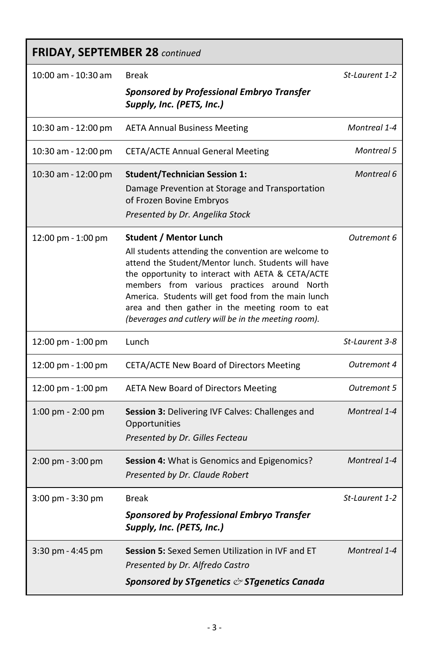# **FRIDAY, SEPTEMBER 28** *continued*

| 10:00 am - 10:30 am                  | <b>Break</b>                                                                                                                                                                                                                                                                                                                                                                                                       | St-Laurent 1-2    |
|--------------------------------------|--------------------------------------------------------------------------------------------------------------------------------------------------------------------------------------------------------------------------------------------------------------------------------------------------------------------------------------------------------------------------------------------------------------------|-------------------|
|                                      | <b>Sponsored by Professional Embryo Transfer</b><br>Supply, Inc. (PETS, Inc.)                                                                                                                                                                                                                                                                                                                                      |                   |
| 10:30 am - 12:00 pm                  | <b>AETA Annual Business Meeting</b>                                                                                                                                                                                                                                                                                                                                                                                | Montreal 1-4      |
| 10:30 am - 12:00 pm                  | <b>CETA/ACTE Annual General Meeting</b>                                                                                                                                                                                                                                                                                                                                                                            | <b>Montreal 5</b> |
| 10:30 am - 12:00 pm                  | <b>Student/Technician Session 1:</b><br>Damage Prevention at Storage and Transportation<br>of Frozen Bovine Embryos<br>Presented by Dr. Angelika Stock                                                                                                                                                                                                                                                             | Montreal 6        |
| 12:00 pm - 1:00 pm                   | <b>Student / Mentor Lunch</b><br>All students attending the convention are welcome to<br>attend the Student/Mentor lunch. Students will have<br>the opportunity to interact with AETA & CETA/ACTE<br>members from various practices around North<br>America. Students will get food from the main lunch<br>area and then gather in the meeting room to eat<br>(beverages and cutlery will be in the meeting room). | Outremont 6       |
| 12:00 pm - 1:00 pm                   | Lunch                                                                                                                                                                                                                                                                                                                                                                                                              | St-Laurent 3-8    |
| $12:00 \text{ pm} - 1:00 \text{ pm}$ | CETA/ACTE New Board of Directors Meeting                                                                                                                                                                                                                                                                                                                                                                           | Outremont 4       |
| $12:00 \text{ pm} - 1:00 \text{ pm}$ | <b>AETA New Board of Directors Meeting</b>                                                                                                                                                                                                                                                                                                                                                                         | Outremont 5       |
| $1:00 \text{ pm} - 2:00 \text{ pm}$  | <b>Session 3: Delivering IVF Calves: Challenges and</b><br>Opportunities<br>Presented by Dr. Gilles Fecteau                                                                                                                                                                                                                                                                                                        | Montreal 1-4      |
| $2:00 \text{ pm} - 3:00 \text{ pm}$  | <b>Session 4:</b> What is Genomics and Epigenomics?<br>Presented by Dr. Claude Robert                                                                                                                                                                                                                                                                                                                              | Montreal 1-4      |
| 3:00 pm - 3:30 pm                    | <b>Break</b>                                                                                                                                                                                                                                                                                                                                                                                                       | St-Laurent 1-2    |
|                                      | <b>Sponsored by Professional Embryo Transfer</b><br>Supply, Inc. (PETS, Inc.)                                                                                                                                                                                                                                                                                                                                      |                   |
| $3:30$ pm - 4:45 pm                  | Session 5: Sexed Semen Utilization in IVF and ET<br>Presented by Dr. Alfredo Castro<br>Sponsored by STgenetics $\mathcal O$ STgenetics Canada                                                                                                                                                                                                                                                                      | Montreal 1-4      |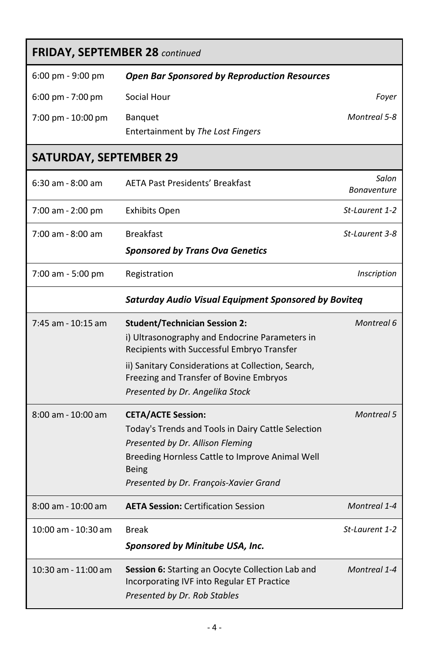| <b>FRIDAY, SEPTEMBER 28 continued</b> |                                                                                                                                |                             |
|---------------------------------------|--------------------------------------------------------------------------------------------------------------------------------|-----------------------------|
| $6:00 \text{ pm} - 9:00 \text{ pm}$   | <b>Open Bar Sponsored by Reproduction Resources</b>                                                                            |                             |
| 6:00 pm - 7:00 pm                     | Social Hour                                                                                                                    | Foyer                       |
| 7:00 pm - 10:00 pm                    | Banquet                                                                                                                        | Montreal 5-8                |
|                                       | Entertainment by The Lost Fingers                                                                                              |                             |
| <b>SATURDAY, SEPTEMBER 29</b>         |                                                                                                                                |                             |
| $6:30$ am - $8:00$ am                 | <b>AETA Past Presidents' Breakfast</b>                                                                                         | Salon<br><b>Bonaventure</b> |
| 7:00 am - 2:00 pm                     | <b>Exhibits Open</b>                                                                                                           | St-Laurent 1-2              |
| $7:00$ am - 8:00 am                   | <b>Breakfast</b>                                                                                                               | St-Laurent 3-8              |
|                                       | <b>Sponsored by Trans Ova Genetics</b>                                                                                         |                             |
| 7:00 am - 5:00 pm                     | Registration                                                                                                                   | Inscription                 |
|                                       | <b>Saturday Audio Visual Equipment Sponsored by Boviteq</b>                                                                    |                             |
| 7:45 am - 10:15 am                    | <b>Student/Technician Session 2:</b>                                                                                           | Montreal 6                  |
|                                       | i) Ultrasonography and Endocrine Parameters in<br>Recipients with Successful Embryo Transfer                                   |                             |
|                                       | ii) Sanitary Considerations at Collection, Search,                                                                             |                             |
|                                       | Freezing and Transfer of Bovine Embryos<br>Presented by Dr. Angelika Stock                                                     |                             |
| $8:00$ am - 10:00 am                  | <b>CETA/ACTE Session:</b>                                                                                                      | <b>Montreal 5</b>           |
|                                       | Today's Trends and Tools in Dairy Cattle Selection                                                                             |                             |
|                                       | Presented by Dr. Allison Fleming                                                                                               |                             |
|                                       | Breeding Hornless Cattle to Improve Animal Well<br><b>Being</b>                                                                |                             |
|                                       | Presented by Dr. François-Xavier Grand                                                                                         |                             |
| $8:00$ am - 10:00 am                  | <b>AETA Session: Certification Session</b>                                                                                     | <b>Montreal 1-4</b>         |
| 10:00 am - 10:30 am                   | Break                                                                                                                          | St-Laurent 1-2              |
|                                       | Sponsored by Minitube USA, Inc.                                                                                                |                             |
| 10:30 am - 11:00 am                   | Session 6: Starting an Oocyte Collection Lab and<br>Incorporating IVF into Regular ET Practice<br>Presented by Dr. Rob Stables | Montreal 1-4                |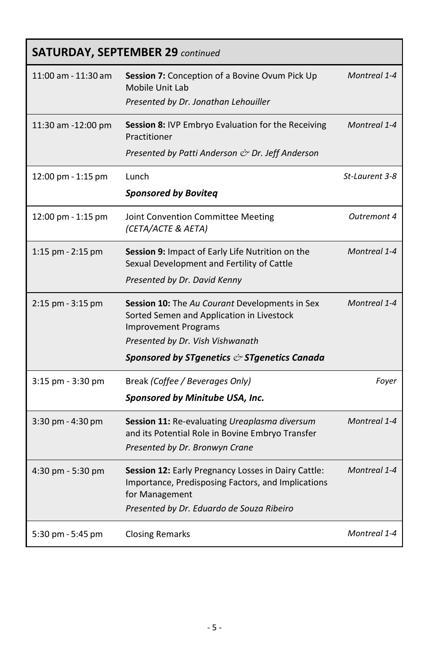| <b>SATURDAY, SEPTEMBER 29 continued</b> |                                                                                                                                                                                                                                |                |
|-----------------------------------------|--------------------------------------------------------------------------------------------------------------------------------------------------------------------------------------------------------------------------------|----------------|
| 11:00 am - 11:30 am                     | Session 7: Conception of a Bovine Ovum Pick Up<br>Mobile Unit Lab<br>Presented by Dr. Jonathan Lehouiller                                                                                                                      | Montreal 1-4   |
| 11:30 am -12:00 pm                      | Session 8: IVP Embryo Evaluation for the Receiving<br>Practitioner<br>Presented by Patti Anderson & Dr. Jeff Anderson                                                                                                          | Montreal 1-4   |
| 12:00 pm - 1:15 pm                      | Lunch<br><b>Sponsored by Boviteq</b>                                                                                                                                                                                           | St-Laurent 3-8 |
| 12:00 pm - 1:15 pm                      | Joint Convention Committee Meeting<br>(CETA/ACTE & AETA)                                                                                                                                                                       | Outremont 4    |
| $1:15$ pm - $2:15$ pm                   | Session 9: Impact of Early Life Nutrition on the<br>Sexual Development and Fertility of Cattle<br>Presented by Dr. David Kenny                                                                                                 | Montreal 1-4   |
| 2:15 pm - 3:15 pm                       | <b>Session 10:</b> The Au Courant Developments in Sex<br>Sorted Semen and Application in Livestock<br><b>Improvement Programs</b><br>Presented by Dr. Vish Vishwanath<br>Sponsored by STgenetics $\breve{c}$ STgenetics Canada | Montreal 1-4   |
| 3:15 pm - 3:30 pm                       | Break (Coffee / Beverages Only)<br>Sponsored by Minitube USA, Inc.                                                                                                                                                             | Foyer          |
| 3:30 pm - 4:30 pm                       | Session 11: Re-evaluating Ureaplasma diversum<br>and its Potential Role in Bovine Embryo Transfer<br>Presented by Dr. Bronwyn Crane                                                                                            | Montreal 1-4   |
| 4:30 pm - 5:30 pm                       | Session 12: Early Pregnancy Losses in Dairy Cattle:<br>Importance, Predisposing Factors, and Implications<br>for Management<br>Presented by Dr. Eduardo de Souza Ribeiro                                                       | Montreal 1-4   |
| 5:30 pm - 5:45 pm                       | <b>Closing Remarks</b>                                                                                                                                                                                                         | Montreal 1-4   |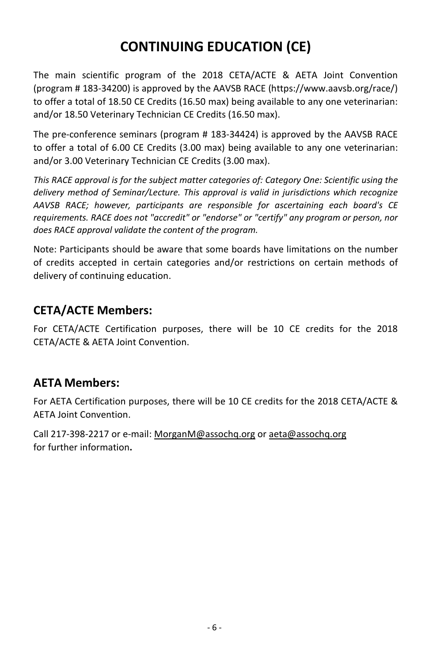# **CONTINUING EDUCATION (CE)**

The main scientific program of the 2018 CETA/ACTE & AETA Joint Convention (program # 183-34200) is approved by the AAVSB RACE [\(https://www.aavsb.org/race/\)](https://www.aavsb.org/race/) to offer a total of 18.50 CE Credits (16.50 max) being available to any one veterinarian: and/or 18.50 Veterinary Technician CE Credits (16.50 max).

The pre-conference seminars (program # 183-34424) is approved by the AAVSB RACE to offer a total of 6.00 CE Credits (3.00 max) being available to any one veterinarian: and/or 3.00 Veterinary Technician CE Credits (3.00 max).

*This RACE approval is for the subject matter categories of: Category One: Scientific using the delivery method of Seminar/Lecture. This approval is valid in jurisdictions which recognize AAVSB RACE; however, participants are responsible for ascertaining each board's CE requirements. RACE does not "accredit" or "endorse" or "certify" any program or person, nor does RACE approval validate the content of the program.*

Note: Participants should be aware that some boards have limitations on the number of credits accepted in certain categories and/or restrictions on certain methods of delivery of continuing education.

# **CETA/ACTE Members:**

For CETA/ACTE Certification purposes, there will be 10 CE credits for the 2018 CETA/ACTE & AETA Joint Convention.

# **AETA Members:**

For AETA Certification purposes, there will be 10 CE credits for the 2018 CETA/ACTE & AETA Joint Convention.

Call 217-398-2217 or e-mail[: MorganM@assochq.org](mailto:MorganM@assochq.org) or [aeta@assochq.org](mailto:aeta@assochq.org) for further information**.**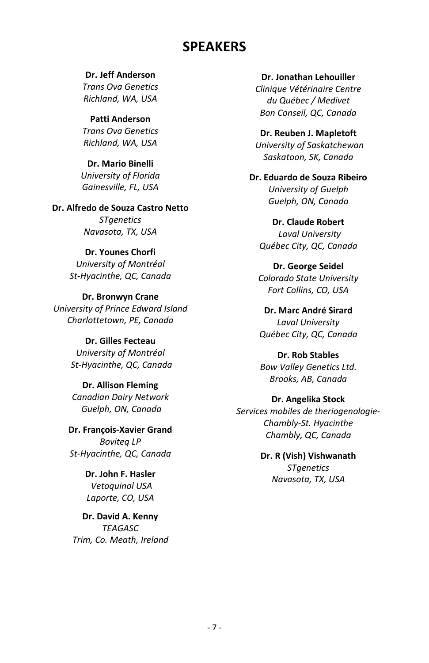# **SPEAKERS**

**Dr. Jeff Anderson**  *Trans Ova Genetics Richland, WA, USA*

**Patti Anderson** *Trans Ova Genetics Richland, WA, USA*

**Dr. Mario Binelli**  *University of Florida Gainesville, FL, USA*

**Dr. Alfredo de Souza Castro Netto** *STgenetics*

*Navasota, TX, USA*

#### **Dr. Younes Chorfi**

*University of Montréal St-Hyacinthe, QC, Canada*

**Dr. Bronwyn Crane** *University of Prince Edward Island Charlottetown, PE, Canada*

> **Dr. Gilles Fecteau** *University of Montréal St-Hyacinthe, QC, Canada*

**Dr. Allison Fleming** *Canadian Dairy Network Guelph, ON, Canada*

**Dr. François-Xavier Grand** *Boviteq LP St-Hyacinthe, QC, Canada*

> **Dr. John F. Hasler** *Vetoquinol USA Laporte, CO, USA*

**Dr. David A. Kenny** *TEAGASC Trim, Co. Meath, Ireland*

**Dr. Jonathan Lehouiller**  *Clinique Vétérinaire Centre du Québec / Medivet Bon Conseil, QC, Canada*

**Dr. Reuben J. Mapletoft** *University of Saskatchewan Saskatoon, SK, Canada*

**Dr. Eduardo de Souza Ribeiro** *University of Guelph Guelph, ON, Canada*

**Dr. Claude Robert** *Laval University Québec City, QC, Canada*

**Dr. George Seidel**  *Colorado State University Fort Collins, CO, USA*

**Dr. Marc André Sirard** *Laval University Québec City, QC, Canada*

**Dr. Rob Stables** *Bow Valley Genetics Ltd. Brooks, AB, Canada*

#### **Dr. Angelika Stock**

*Services mobiles de theriogenologie-Chambly-St. Hyacinthe Chambly, QC, Canada*

> **Dr. R (Vish) Vishwanath** *STgenetics Navasota, TX, USA*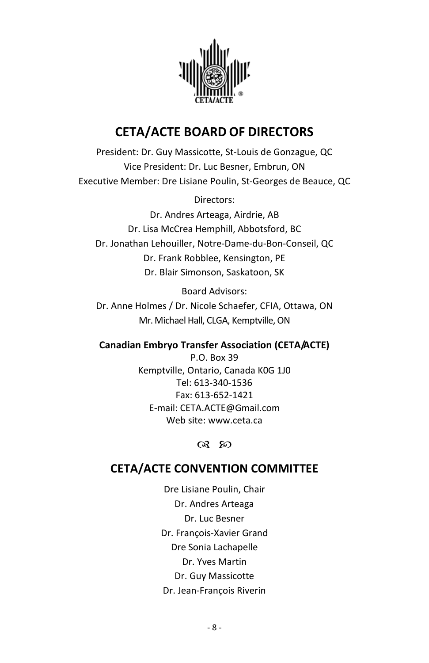

# **CETA/ACTE BOARD OF DIRECTORS**

President: Dr. Guy Massicotte, St-Louis de Gonzague, QC Vice President: Dr. Luc Besner, Embrun, ON Executive Member: Dre Lisiane Poulin, St-Georges de Beauce, QC

Directors:

Dr. Andres Arteaga, Airdrie, AB Dr. Lisa McCrea Hemphill, Abbotsford, BC Dr. Jonathan Lehouiller, Notre-Dame-du-Bon-Conseil, QC Dr. Frank Robblee, Kensington, PE Dr. Blair Simonson, Saskatoon, SK

Board Advisors:

Dr. Anne Holmes / Dr. Nicole Schaefer, CFIA, Ottawa, ON Mr. Michael Hall, CLGA, Kemptville, ON

#### **Canadian Embryo Transfer Association (CETA/ACTE)**

P.O. Box 39 Kemptville, Ontario, Canada K0G 1J0 Tel: 613-340-1536 Fax: 613-652-1421 E-mail: CETA.ACTE@Gmail.com Web site: www.ceta.ca

രു ജ

# **CETA/ACTE CONVENTION COMMITTEE**

Dre Lisiane Poulin, Chair Dr. Andres Arteaga Dr. Luc Besner Dr. François-Xavier Grand Dre Sonia Lachapelle Dr. Yves Martin Dr. Guy Massicotte Dr. Jean-François Riverin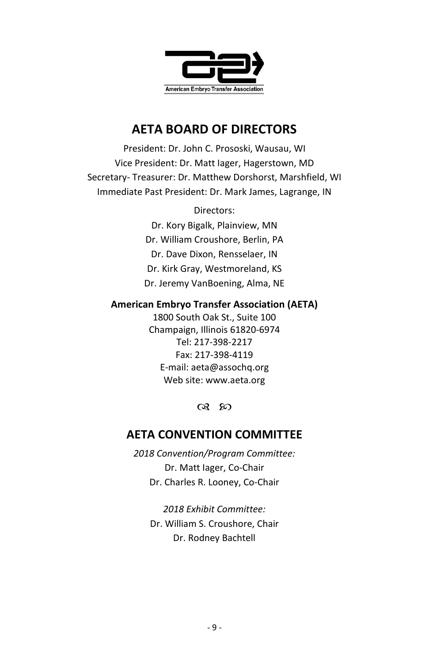

# **AETA BOARD OF DIRECTORS**

President: Dr. John C. Prososki, Wausau, WI Vice President: Dr. Matt Iager, Hagerstown, MD Secretary- Treasurer: Dr. Matthew Dorshorst, Marshfield, WI Immediate Past President: Dr. Mark James, Lagrange, IN

Directors:

Dr. Kory Bigalk, Plainview, MN Dr. William Croushore, Berlin, PA Dr. Dave Dixon, Rensselaer, IN Dr. Kirk Gray, Westmoreland, KS Dr. Jeremy VanBoening, Alma, NE

#### **American Embryo Transfer Association (AETA)**

1800 South Oak St., Suite 100 Champaign, Illinois 61820-6974 Tel: 217-398-2217 Fax: 217-398-4119 E-mail[: aeta@assochq.org](mailto:aeta@assochq.org) Web site: www.aeta.org

രു ഗ

# **AETA CONVENTION COMMITTEE**

*2018 Convention/Program Committee:* Dr. Matt Iager, Co-Chair Dr. Charles R. Looney, Co-Chair

*2018 Exhibit Committee:* Dr. William S. Croushore, Chair Dr. Rodney Bachtell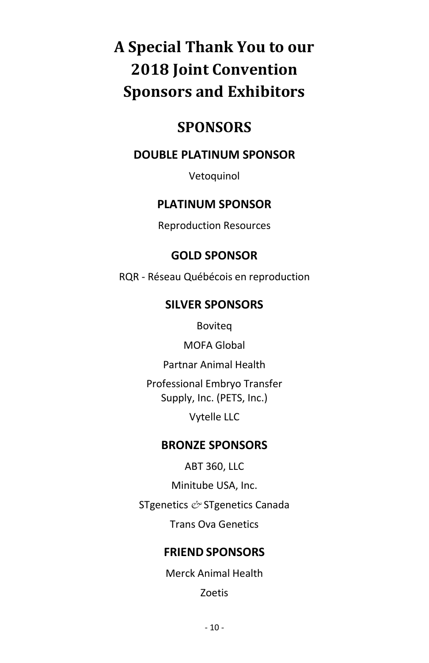# A Special Thank You to our **2018 Joint Convention Sponsors and Exhibitors**

# **SPONSORS**

# **DOUBLE PLATINUM SPONSOR**

Vetoquinol

# **PLATINUM SPONSOR**

**Reproduction Resources** 

# **GOLD SPONSOR**

RQR - Réseau Québécois en reproduction

# **SILVER SPONSORS**

Boviteg

MOFA Global

Partnar Animal Health

Professional Embryo Transfer Supply, Inc. (PETS, Inc.)

Vytelle LLC

# **BRONZE SPONSORS**

**ABT 360, LLC** 

Minitube USA, Inc.

STgenetics & STgenetics Canada

**Trans Ova Genetics** 

# **FRIEND SPONSORS**

Merck Animal Health

**Zoetis**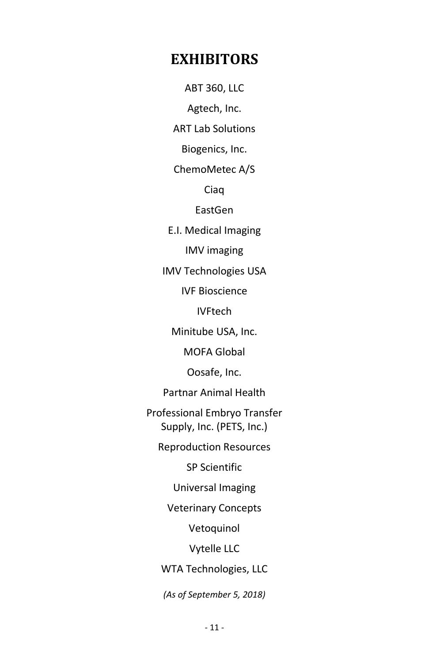# **EXHIBITORS**

ABT 360, LLC Agtech, Inc.

ART Lab Solutions

Biogenics, Inc.

ChemoMetec A/S

Ciaq

EastGen

E.I. Medical Imaging

IMV imaging

IMV Technologies USA

IVF Bioscience

IVFtech

Minitube USA, Inc.

MOFA Global

Oosafe, Inc.

Partnar Animal Health

Professional Embryo Transfer Supply, Inc. (PETS, Inc.)

Reproduction Resources

SP Scientific

Universal Imaging

Veterinary Concepts

Vetoquinol

Vytelle LLC

WTA Technologies, LLC

*(As of September 5, 2018)*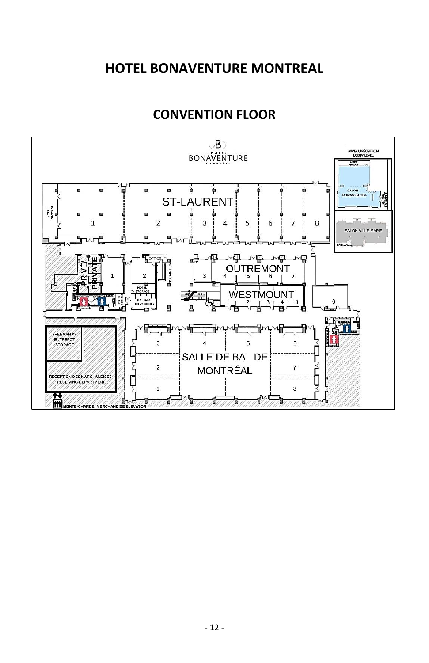# **HOTEL BONAVENTURE MONTREAL**

# **CONVENTION FLOOR**